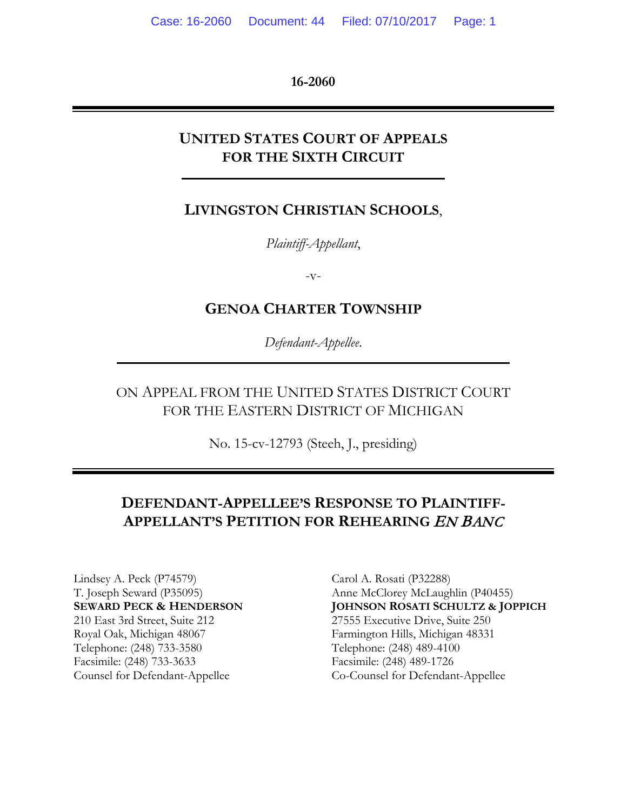**16-2060**

### **UNITED STATES COURT OF APPEALS FOR THE SIXTH CIRCUIT**

### **LIVINGSTON CHRISTIAN SCHOOLS**,

*Plaintiff-Appellant*,

 $-V$ -

### **GENOA CHARTER TOWNSHIP**

*Defendant-Appellee*.

ON APPEAL FROM THE UNITED STATES DISTRICT COURT FOR THE EASTERN DISTRICT OF MICHIGAN

No. 15-cv-12793 (Steeh, J., presiding)

## **DEFENDANT-APPELLEE'S RESPONSE TO PLAINTIFF-APPELLANT'S PETITION FOR REHEARING** EN BANC

Lindsey A. Peck (P74579) Carol A. Rosati (P32288) 210 East 3rd Street, Suite 212 27555 Executive Drive, Suite 250 Royal Oak, Michigan 48067 Farmington Hills, Michigan 48331 Telephone: (248) 733-3580 Telephone: (248) 489-4100 Facsimile: (248) 733-3633 Facsimile: (248) 489-1726

T. Joseph Seward (P35095) Anne McClorey McLaughlin (P40455) **SEWARD PECK & HENDERSON JOHNSON ROSATI SCHULTZ & JOPPICH** Counsel for Defendant-Appellee Co-Counsel for Defendant-Appellee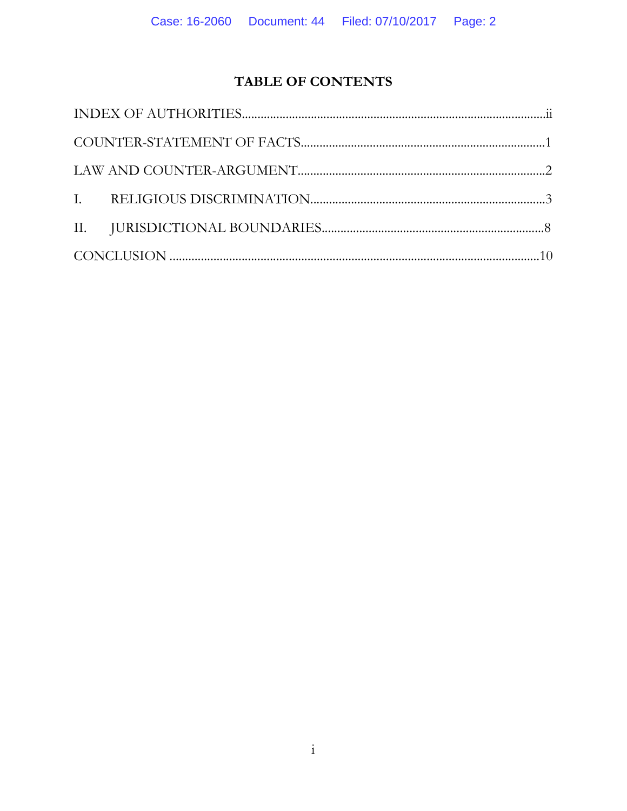## TABLE OF CONTENTS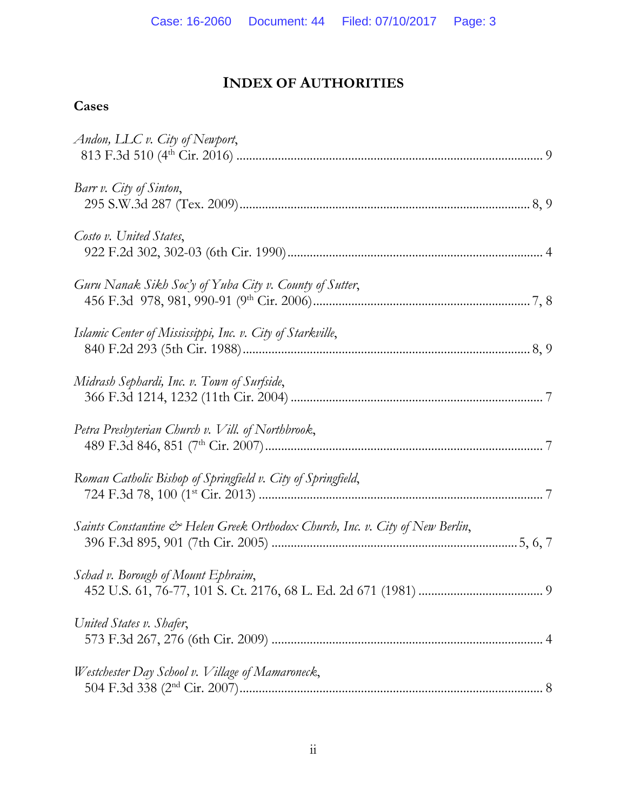# **INDEX OF AUTHORITIES**

## **Cases**

| Andon, LLC $v$ . City of Newport,                                             |  |
|-------------------------------------------------------------------------------|--|
| Barr v. City of Sinton,                                                       |  |
| Costo v. United States,                                                       |  |
| Guru Nanak Sikh Soc'y of Yuba City v. County of Sutter,                       |  |
| Islamic Center of Mississippi, Inc. v. City of Starkville,                    |  |
| Midrash Sephardi, Inc. v. Town of Surfside,                                   |  |
| Petra Presbyterian Church v. Vill. of Northbrook,                             |  |
| Roman Catholic Bishop of Springfield v. City of Springfield,                  |  |
| Saints Constantine & Helen Greek Orthodox Church, Inc. v. City of New Berlin, |  |
| Schad v. Borough of Mount Ephraim,                                            |  |
| United States v. Shafer,                                                      |  |
| Westchester Day School v. Village of Mamaroneck,                              |  |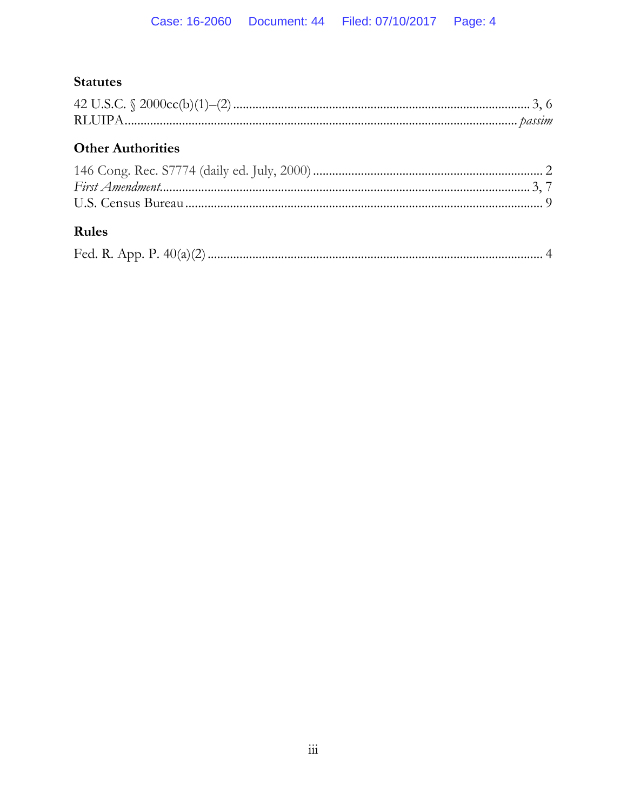# **Statutes**

# **Other Authorities**

# Rules

|  | Fed. R. App. P. | 40( |  |  |
|--|-----------------|-----|--|--|
|--|-----------------|-----|--|--|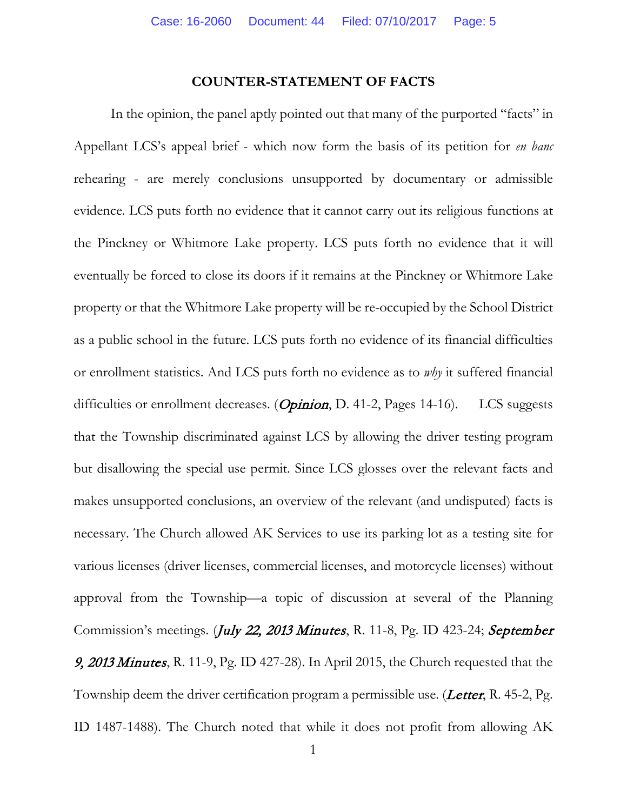#### **COUNTER-STATEMENT OF FACTS**

In the opinion, the panel aptly pointed out that many of the purported "facts" in Appellant LCS's appeal brief - which now form the basis of its petition for *en banc* rehearing - are merely conclusions unsupported by documentary or admissible evidence. LCS puts forth no evidence that it cannot carry out its religious functions at the Pinckney or Whitmore Lake property. LCS puts forth no evidence that it will eventually be forced to close its doors if it remains at the Pinckney or Whitmore Lake property or that the Whitmore Lake property will be re-occupied by the School District as a public school in the future. LCS puts forth no evidence of its financial difficulties or enrollment statistics. And LCS puts forth no evidence as to *why* it suffered financial difficulties or enrollment decreases. (*Opinion*, D. 41-2, Pages 14-16). LCS suggests that the Township discriminated against LCS by allowing the driver testing program but disallowing the special use permit. Since LCS glosses over the relevant facts and makes unsupported conclusions, an overview of the relevant (and undisputed) facts is necessary. The Church allowed AK Services to use its parking lot as a testing site for various licenses (driver licenses, commercial licenses, and motorcycle licenses) without approval from the Township—a topic of discussion at several of the Planning Commission's meetings. (*July 22, 2013 Minutes*, R. 11-8, Pg. ID 423-24; *September* 9, 2013 Minutes, R. 11-9, Pg. ID 427-28). In April 2015, the Church requested that the Township deem the driver certification program a permissible use. (*Letter*, R. 45-2, Pg. ID 1487-1488). The Church noted that while it does not profit from allowing AK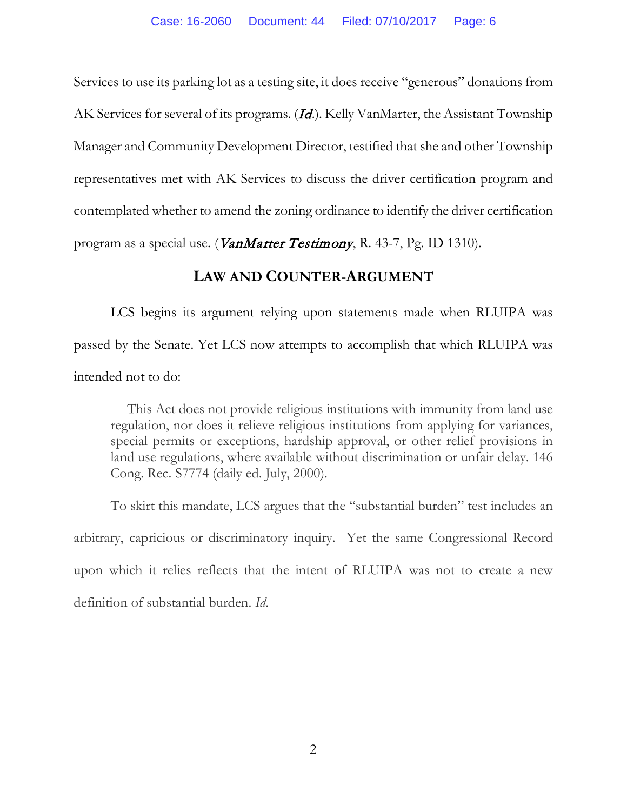Services to use its parking lot as a testing site, it does receive "generous" donations from AK Services for several of its programs. (*Id.*). Kelly VanMarter, the Assistant Township Manager and Community Development Director, testified that she and other Township representatives met with AK Services to discuss the driver certification program and contemplated whether to amend the zoning ordinance to identify the driver certification program as a special use. (*VanMarter Testimony*, R. 43-7, Pg. ID 1310).

#### **LAW AND COUNTER-ARGUMENT**

LCS begins its argument relying upon statements made when RLUIPA was passed by the Senate. Yet LCS now attempts to accomplish that which RLUIPA was intended not to do:

 This Act does not provide religious institutions with immunity from land use regulation, nor does it relieve religious institutions from applying for variances, special permits or exceptions, hardship approval, or other relief provisions in land use regulations, where available without discrimination or unfair delay. 146 Cong. Rec. S7774 (daily ed. July, 2000).

To skirt this mandate, LCS argues that the "substantial burden" test includes an arbitrary, capricious or discriminatory inquiry. Yet the same Congressional Record upon which it relies reflects that the intent of RLUIPA was not to create a new definition of substantial burden. *Id*.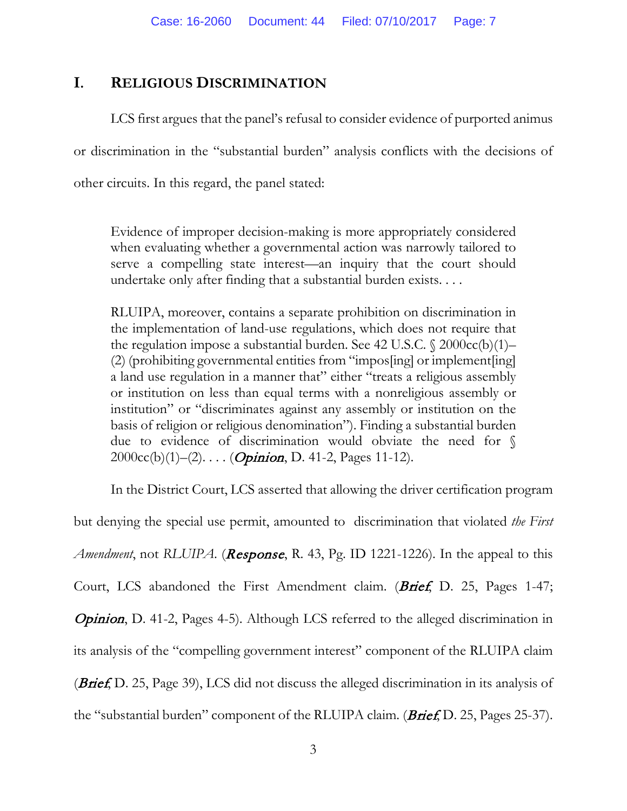### **I. RELIGIOUS DISCRIMINATION**

LCS first argues that the panel's refusal to consider evidence of purported animus or discrimination in the "substantial burden" analysis conflicts with the decisions of other circuits. In this regard, the panel stated:

Evidence of improper decision-making is more appropriately considered when evaluating whether a governmental action was narrowly tailored to serve a compelling state interest—an inquiry that the court should undertake only after finding that a substantial burden exists. . . .

RLUIPA, moreover, contains a separate prohibition on discrimination in the implementation of land-use regulations, which does not require that the regulation impose a substantial burden. See 42 U.S.C. § 2000cc(b)(1)– (2) (prohibiting governmental entities from "impos[ing] or implement[ing] a land use regulation in a manner that" either "treats a religious assembly or institution on less than equal terms with a nonreligious assembly or institution" or "discriminates against any assembly or institution on the basis of religion or religious denomination"). Finding a substantial burden due to evidence of discrimination would obviate the need for §  $2000cc(b)(1)–(2)$ .... (*Opinion*, D. 41-2, Pages 11-12).

In the District Court, LCS asserted that allowing the driver certification program but denying the special use permit, amounted to discrimination that violated *the First Amendment*, not *RLUIPA*. (*Response*, *R.* 43, Pg. ID 1221-1226). In the appeal to this Court, LCS abandoned the First Amendment claim. (*Brief*, D. 25, Pages 1-47; **Opinion, D. 41-2, Pages 4-5).** Although LCS referred to the alleged discrimination in its analysis of the "compelling government interest" component of the RLUIPA claim (*Brief*, D. 25, Page 39), LCS did not discuss the alleged discrimination in its analysis of the "substantial burden" component of the RLUIPA claim. (*Brief*, D. 25, Pages 25-37).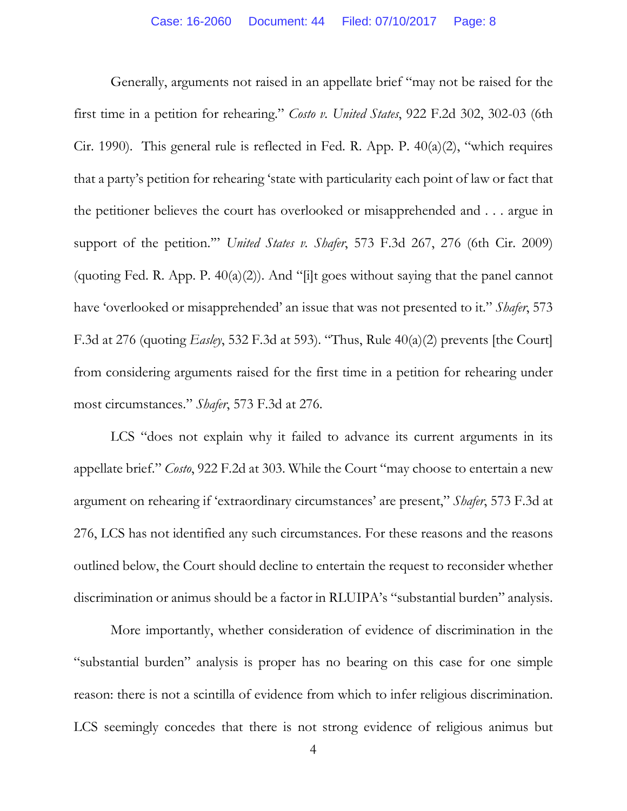Generally, arguments not raised in an appellate brief "may not be raised for the first time in a petition for rehearing." *Costo v. United States*, 922 F.2d 302, 302-03 (6th Cir. 1990). This general rule is reflected in Fed. R. App. P. 40(a)(2), "which requires that a party's petition for rehearing 'state with particularity each point of law or fact that the petitioner believes the court has overlooked or misapprehended and . . . argue in support of the petition.'" *United States v. Shafer*, 573 F.3d 267, 276 (6th Cir. 2009) (quoting Fed. R. App. P.  $40(a)(2)$ ). And "[i]t goes without saying that the panel cannot have 'overlooked or misapprehended' an issue that was not presented to it." *Shafer*, 573 F.3d at 276 (quoting *Easley*, 532 F.3d at 593). "Thus, Rule 40(a)(2) prevents [the Court] from considering arguments raised for the first time in a petition for rehearing under most circumstances." *Shafer*, 573 F.3d at 276.

LCS "does not explain why it failed to advance its current arguments in its appellate brief." *Costo*, 922 F.2d at 303. While the Court "may choose to entertain a new argument on rehearing if 'extraordinary circumstances' are present," *Shafer*, 573 F.3d at 276, LCS has not identified any such circumstances. For these reasons and the reasons outlined below, the Court should decline to entertain the request to reconsider whether discrimination or animus should be a factor in RLUIPA's "substantial burden" analysis.

More importantly, whether consideration of evidence of discrimination in the "substantial burden" analysis is proper has no bearing on this case for one simple reason: there is not a scintilla of evidence from which to infer religious discrimination. LCS seemingly concedes that there is not strong evidence of religious animus but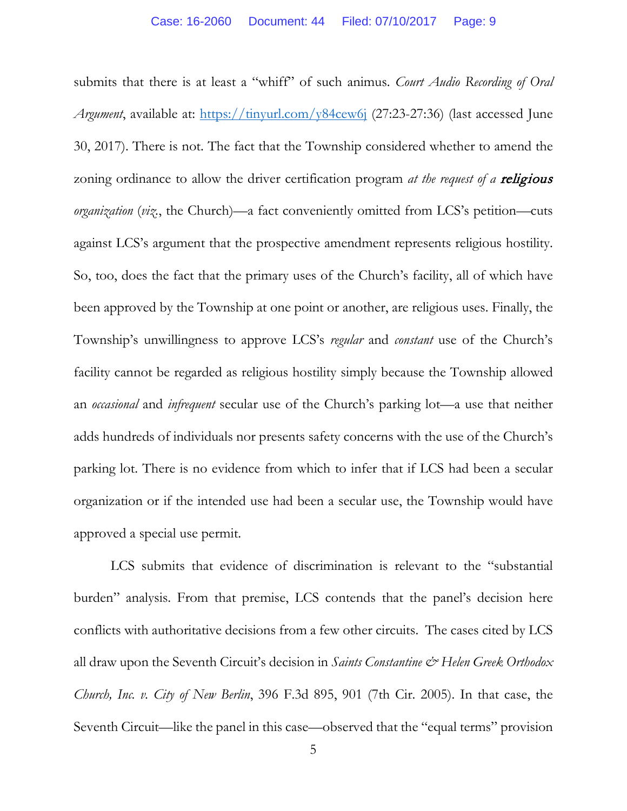submits that there is at least a "whiff" of such animus. *Court Audio Recording of Oral Argument*, available at:<https://tinyurl.com/y84cew6j> (27:23-27:36) (last accessed June 30, 2017). There is not. The fact that the Township considered whether to amend the zoning ordinance to allow the driver certification program *at the request of a* religious *organization* (*viz.*, the Church)—a fact conveniently omitted from LCS's petition—cuts against LCS's argument that the prospective amendment represents religious hostility. So, too, does the fact that the primary uses of the Church's facility, all of which have been approved by the Township at one point or another, are religious uses. Finally, the Township's unwillingness to approve LCS's *regular* and *constant* use of the Church's facility cannot be regarded as religious hostility simply because the Township allowed an *occasional* and *infrequent* secular use of the Church's parking lot—a use that neither adds hundreds of individuals nor presents safety concerns with the use of the Church's parking lot. There is no evidence from which to infer that if LCS had been a secular organization or if the intended use had been a secular use, the Township would have approved a special use permit.

LCS submits that evidence of discrimination is relevant to the "substantial burden" analysis. From that premise, LCS contends that the panel's decision here conflicts with authoritative decisions from a few other circuits. The cases cited by LCS all draw upon the Seventh Circuit's decision in *Saints Constantine & Helen Greek Orthodox Church, Inc. v. City of New Berlin*, 396 F.3d 895, 901 (7th Cir. 2005). In that case, the Seventh Circuit—like the panel in this case—observed that the "equal terms" provision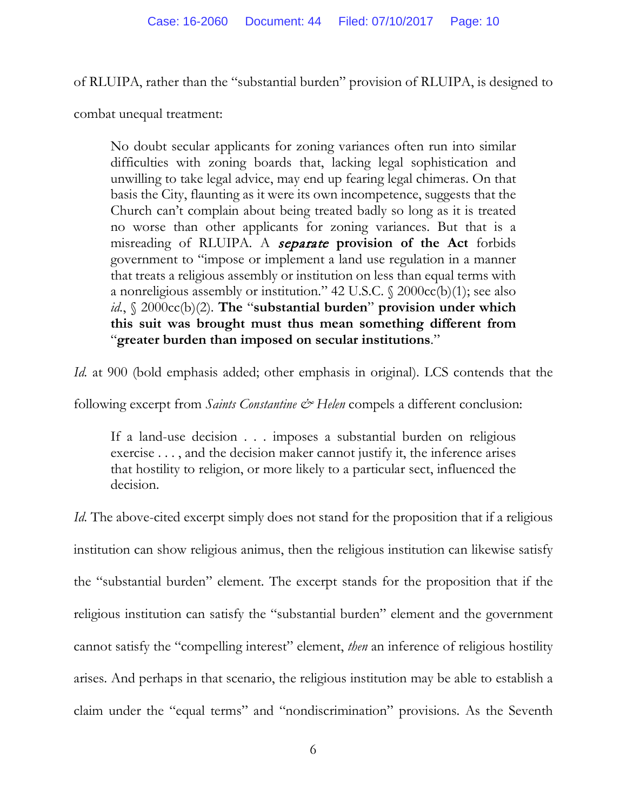of RLUIPA, rather than the "substantial burden" provision of RLUIPA, is designed to

combat unequal treatment:

No doubt secular applicants for zoning variances often run into similar difficulties with zoning boards that, lacking legal sophistication and unwilling to take legal advice, may end up fearing legal chimeras. On that basis the City, flaunting as it were its own incompetence, suggests that the Church can't complain about being treated badly so long as it is treated no worse than other applicants for zoning variances. But that is a misreading of RLUIPA. A separate **provision of the Act** forbids government to "impose or implement a land use regulation in a manner that treats a religious assembly or institution on less than equal terms with a nonreligious assembly or institution." 42 U.S.C. § 2000cc(b)(1); see also *id.*, § 2000cc(b)(2). **The** "**substantial burden**" **provision under which this suit was brought must thus mean something different from**  "**greater burden than imposed on secular institutions**."

*Id.* at 900 (bold emphasis added; other emphasis in original). LCS contends that the

following excerpt from *Saints Constantine & Helen* compels a different conclusion:

If a land-use decision . . . imposes a substantial burden on religious exercise . . . , and the decision maker cannot justify it, the inference arises that hostility to religion, or more likely to a particular sect, influenced the decision.

*Id.* The above-cited excerpt simply does not stand for the proposition that if a religious institution can show religious animus, then the religious institution can likewise satisfy the "substantial burden" element. The excerpt stands for the proposition that if the religious institution can satisfy the "substantial burden" element and the government cannot satisfy the "compelling interest" element, *then* an inference of religious hostility arises. And perhaps in that scenario, the religious institution may be able to establish a claim under the "equal terms" and "nondiscrimination" provisions. As the Seventh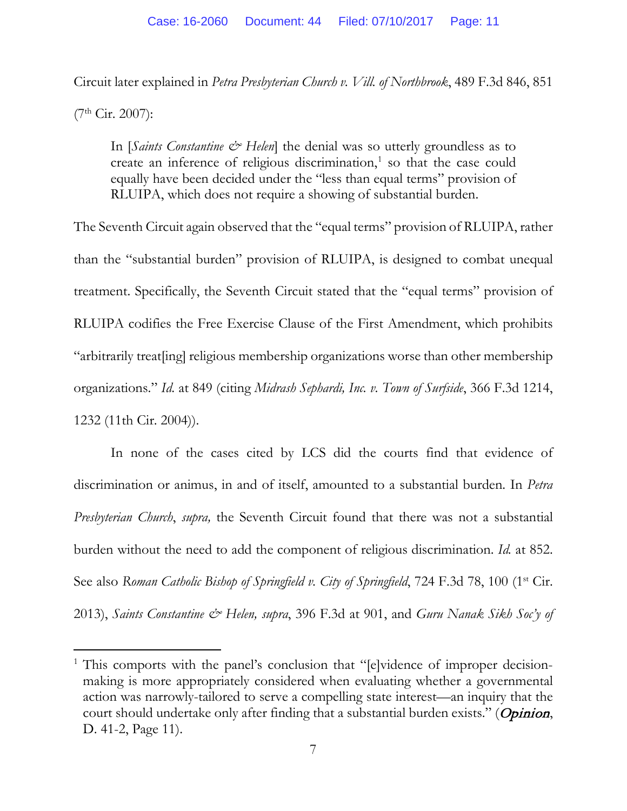Circuit later explained in *Petra Presbyterian Church v. Vill. of Northbrook*, 489 F.3d 846, 851

(7th Cir. 2007):

l

In [*Saints Constantine*  $\mathcal{Q}^*$  *Helen*] the denial was so utterly groundless as to create an inference of religious discrimination, $<sup>1</sup>$  $<sup>1</sup>$  $<sup>1</sup>$  so that the case could</sup> equally have been decided under the "less than equal terms" provision of RLUIPA, which does not require a showing of substantial burden.

The Seventh Circuit again observed that the "equal terms" provision of RLUIPA, rather than the "substantial burden" provision of RLUIPA, is designed to combat unequal treatment. Specifically, the Seventh Circuit stated that the "equal terms" provision of RLUIPA codifies the Free Exercise Clause of the First Amendment, which prohibits "arbitrarily treat[ing] religious membership organizations worse than other membership organizations." *Id.* at 849 (citing *Midrash Sephardi, Inc. v. Town of Surfside*, 366 F.3d 1214, 1232 (11th Cir. 2004)).

In none of the cases cited by LCS did the courts find that evidence of discrimination or animus, in and of itself, amounted to a substantial burden. In *Petra Presbyterian Church*, *supra,* the Seventh Circuit found that there was not a substantial burden without the need to add the component of religious discrimination. *Id.* at 852. See also *Roman Catholic Bishop of Springfield v. City of Springfield*, 724 F.3d 78, 100 (1st Cir. 2013), *Saints Constantine & Helen, supra*, 396 F.3d at 901, and *Guru Nanak Sikh Soc'y of* 

<span id="page-10-0"></span><sup>&</sup>lt;sup>1</sup> This comports with the panel's conclusion that "[e]vidence of improper decisionmaking is more appropriately considered when evaluating whether a governmental action was narrowly-tailored to serve a compelling state interest—an inquiry that the court should undertake only after finding that a substantial burden exists." (Opinion, D. 41-2, Page 11).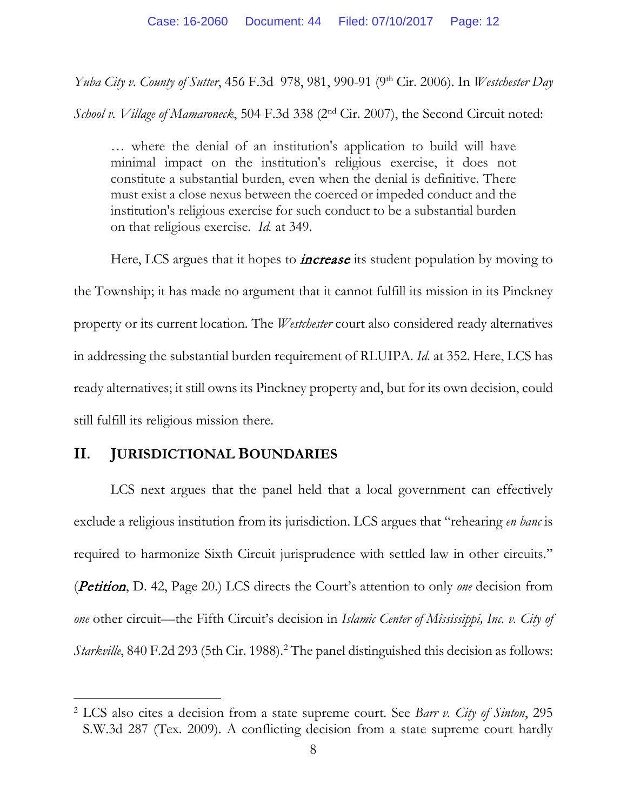*Yuba City v. County of Sutter*, 456 F.3d 978, 981, 990-91 (9th Cir. 2006). In *Westchester Day* 

*School v. Village of Mamaroneck*, 504 F.3d 338 (2<sup>nd</sup> Cir. 2007), the Second Circuit noted:

… where the denial of an institution's application to build will have minimal impact on the institution's religious exercise, it does not constitute a substantial burden, even when the denial is definitive. There must exist a close nexus between the coerced or impeded conduct and the institution's religious exercise for such conduct to be a substantial burden on that religious exercise. *Id.* at 349.

Here, LCS argues that it hopes to *increase* its student population by moving to the Township; it has made no argument that it cannot fulfill its mission in its Pinckney property or its current location. The *Westchester* court also considered ready alternatives in addressing the substantial burden requirement of RLUIPA. *Id*. at 352. Here, LCS has ready alternatives; it still owns its Pinckney property and, but for its own decision, could still fulfill its religious mission there.

#### **II. JURISDICTIONAL BOUNDARIES**

LCS next argues that the panel held that a local government can effectively exclude a religious institution from its jurisdiction. LCS argues that "rehearing *en banc* is required to harmonize Sixth Circuit jurisprudence with settled law in other circuits." (Petition, D. 42, Page 20.) LCS directs the Court's attention to only *one* decision from *one* other circuit—the Fifth Circuit's decision in *Islamic Center of Mississippi, Inc. v. City of Starkville*, 840 F.2d 293 (5th Cir. 1988). [2](#page-11-0) The panel distinguished this decision as follows:

<span id="page-11-0"></span><sup>2</sup> LCS also cites a decision from a state supreme court. See *Barr v. City of Sinton*, 295 S.W.3d 287 (Tex. 2009). A conflicting decision from a state supreme court hardly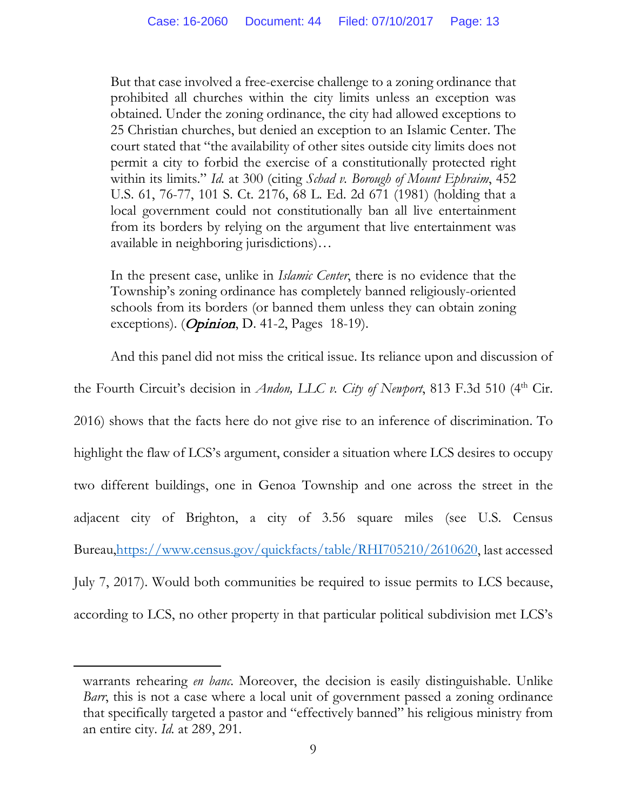But that case involved a free-exercise challenge to a zoning ordinance that prohibited all churches within the city limits unless an exception was obtained. Under the zoning ordinance, the city had allowed exceptions to 25 Christian churches, but denied an exception to an Islamic Center. The court stated that "the availability of other sites outside city limits does not permit a city to forbid the exercise of a constitutionally protected right within its limits." *Id.* at 300 (citing *Schad v. Borough of Mount Ephraim*, 452 U.S. 61, 76-77, 101 S. Ct. 2176, 68 L. Ed. 2d 671 (1981) (holding that a local government could not constitutionally ban all live entertainment from its borders by relying on the argument that live entertainment was available in neighboring jurisdictions)…

In the present case, unlike in *Islamic Center*, there is no evidence that the Township's zoning ordinance has completely banned religiously-oriented schools from its borders (or banned them unless they can obtain zoning exceptions). (*Opinion*, D. 41-2, Pages 18-19).

And this panel did not miss the critical issue. Its reliance upon and discussion of

the Fourth Circuit's decision in *Andon, LLC v. City of Newport*, 813 F.3d 510 (4<sup>th</sup> Cir.

2016) shows that the facts here do not give rise to an inference of discrimination. To highlight the flaw of LCS's argument, consider a situation where LCS desires to occupy two different buildings, one in Genoa Township and one across the street in the adjacent city of Brighton, a city of 3.56 square miles (see U.S. Census Bureau[,https://www.census.gov/quickfacts/table/RHI705210/2610620,](https://www.census.gov/quickfacts/table/RHI705210/2610620) last accessed July 7, 2017). Would both communities be required to issue permits to LCS because, according to LCS, no other property in that particular political subdivision met LCS's

l

warrants rehearing *en banc*. Moreover, the decision is easily distinguishable. Unlike *Barr*, this is not a case where a local unit of government passed a zoning ordinance that specifically targeted a pastor and "effectively banned" his religious ministry from an entire city. *Id.* at 289, 291.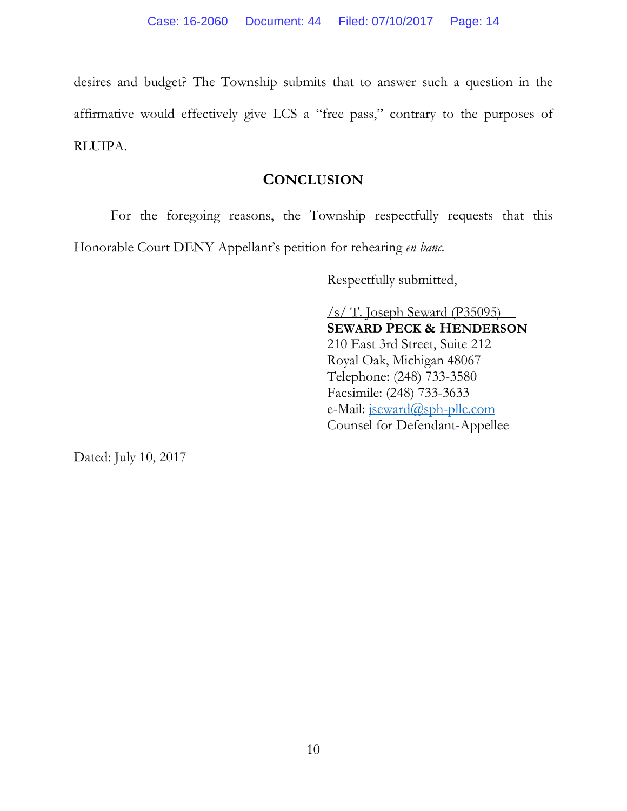desires and budget? The Township submits that to answer such a question in the affirmative would effectively give LCS a "free pass," contrary to the purposes of RLUIPA.

### **CONCLUSION**

For the foregoing reasons, the Township respectfully requests that this Honorable Court DENY Appellant's petition for rehearing *en banc*.

Respectfully submitted,

/s/ T. Joseph Seward (P35095) **SEWARD PECK & HENDERSON** 210 East 3rd Street, Suite 212 Royal Oak, Michigan 48067 Telephone: (248) 733-3580 Facsimile: (248) 733-3633 e-Mail: [jseward@sph-pllc.com](mailto:jseward@sph-pllc.com) Counsel for Defendant-Appellee

Dated: July 10, 2017